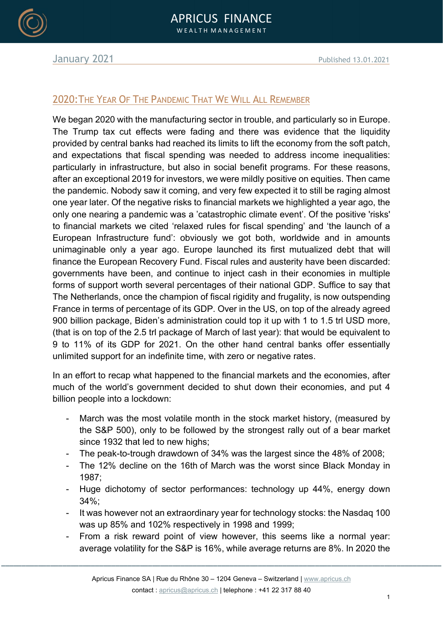

## 2020:THE YEAR OF THE PANDEMIC THAT WE WILL ALL REMEMBER

We began 2020 with the manufacturing sector in trouble, and particularly so in Europe. The Trump tax cut effects were fading and there was evidence that the liquidity provided by central banks had reached its limits to lift the economy from the soft patch, and expectations that fiscal spending was needed to address income inequalities: particularly in infrastructure, but also in social benefit programs. For these reasons, after an exceptional 2019 for investors, we were mildly positive on equities. Then came the pandemic. Nobody saw it coming, and very few expected it to still be raging almost one year later. Of the negative risks to financial markets we highlighted a year ago, the only one nearing a pandemic was a 'catastrophic climate event'. Of the positive 'risks' to financial markets we cited 'relaxed rules for fiscal spending' and 'the launch of a European Infrastructure fund': obviously we got both, worldwide and in amounts unimaginable only a year ago. Europe launched its first mutualized debt that will finance the European Recovery Fund. Fiscal rules and austerity have been discarded: governments have been, and continue to inject cash in their economies in multiple forms of support worth several percentages of their national GDP. Suffice to say that The Netherlands, once the champion of fiscal rigidity and frugality, is now outspending France in terms of percentage of its GDP. Over in the US, on top of the already agreed 900 billion package, Biden's administration could top it up with 1 to 1.5 trl USD more, (that is on top of the 2.5 trl package of March of last year): that would be equivalent to 9 to 11% of its GDP for 2021. On the other hand central banks offer essentially unlimited support for an indefinite time, with zero or negative rates.

In an effort to recap what happened to the financial markets and the economies, after much of the world's government decided to shut down their economies, and put 4 billion people into a lockdown:

- March was the most volatile month in the stock market history, (measured by the S&P 500), only to be followed by the strongest rally out of a bear market since 1932 that led to new highs;
- The peak-to-trough drawdown of 34% was the largest since the 48% of 2008;
- The 12% decline on the 16th of March was the worst since Black Monday in 1987;
- Huge dichotomy of sector performances: technology up 44%, energy down 34%;
- It was however not an extraordinary year for technology stocks: the Nasdaq 100 was up 85% and 102% respectively in 1998 and 1999;
- From a risk reward point of view however, this seems like a normal year: average volatility for the S&P is 16%, while average returns are 8%. In 2020 the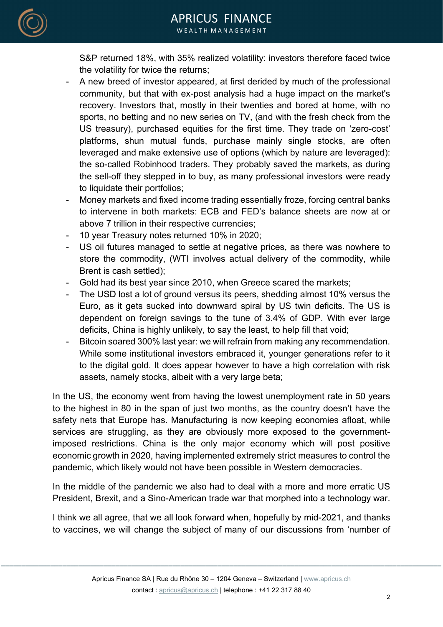

S&P returned 18%, with 35% realized volatility: investors therefore faced twice the volatility for twice the returns;

- A new breed of investor appeared, at first derided by much of the professional community, but that with ex-post analysis had a huge impact on the market's recovery. Investors that, mostly in their twenties and bored at home, with no sports, no betting and no new series on TV, (and with the fresh check from the US treasury), purchased equities for the first time. They trade on 'zero-cost' platforms, shun mutual funds, purchase mainly single stocks, are often leveraged and make extensive use of options (which by nature are leveraged): the so-called Robinhood traders. They probably saved the markets, as during the sell-off they stepped in to buy, as many professional investors were ready to liquidate their portfolios;
- Money markets and fixed income trading essentially froze, forcing central banks to intervene in both markets: ECB and FED's balance sheets are now at or above 7 trillion in their respective currencies;
- 10 year Treasury notes returned 10% in 2020;
- US oil futures managed to settle at negative prices, as there was nowhere to store the commodity, (WTI involves actual delivery of the commodity, while Brent is cash settled);
- Gold had its best year since 2010, when Greece scared the markets;
- The USD lost a lot of ground versus its peers, shedding almost 10% versus the Euro, as it gets sucked into downward spiral by US twin deficits. The US is dependent on foreign savings to the tune of 3.4% of GDP. With ever large deficits, China is highly unlikely, to say the least, to help fill that void;
- Bitcoin soared 300% last year: we will refrain from making any recommendation. While some institutional investors embraced it, younger generations refer to it to the digital gold. It does appear however to have a high correlation with risk assets, namely stocks, albeit with a very large beta;

In the US, the economy went from having the lowest unemployment rate in 50 years to the highest in 80 in the span of just two months, as the country doesn't have the safety nets that Europe has. Manufacturing is now keeping economies afloat, while services are struggling, as they are obviously more exposed to the governmentimposed restrictions. China is the only major economy which will post positive economic growth in 2020, having implemented extremely strict measures to control the pandemic, which likely would not have been possible in Western democracies.

In the middle of the pandemic we also had to deal with a more and more erratic US President, Brexit, and a Sino-American trade war that morphed into a technology war.

I think we all agree, that we all look forward when, hopefully by mid-2021, and thanks to vaccines, we will change the subject of many of our discussions from 'number of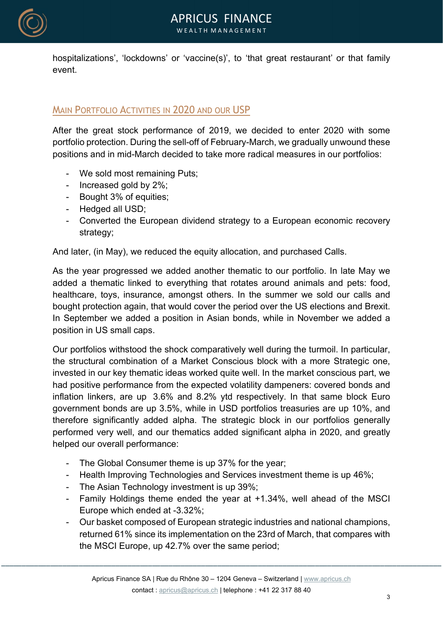

hospitalizations', 'lockdowns' or 'vaccine(s)', to 'that great restaurant' or that family event.

# MAIN PORTFOLIO ACTIVITIES IN 2020 AND OUR USP

After the great stock performance of 2019, we decided to enter 2020 with some portfolio protection. During the sell-off of February-March, we gradually unwound these positions and in mid-March decided to take more radical measures in our portfolios:

- We sold most remaining Puts;
- Increased gold by 2%;
- Bought 3% of equities;
- Hedged all USD;
- Converted the European dividend strategy to a European economic recovery strategy;

And later, (in May), we reduced the equity allocation, and purchased Calls.

As the year progressed we added another thematic to our portfolio. In late May we added a thematic linked to everything that rotates around animals and pets: food, healthcare, toys, insurance, amongst others. In the summer we sold our calls and bought protection again, that would cover the period over the US elections and Brexit. In September we added a position in Asian bonds, while in November we added a position in US small caps.

Our portfolios withstood the shock comparatively well during the turmoil. In particular, the structural combination of a Market Conscious block with a more Strategic one, invested in our key thematic ideas worked quite well. In the market conscious part, we had positive performance from the expected volatility dampeners: covered bonds and inflation linkers, are up 3.6% and 8.2% ytd respectively. In that same block Euro government bonds are up 3.5%, while in USD portfolios treasuries are up 10%, and therefore significantly added alpha. The strategic block in our portfolios generally performed very well, and our thematics added significant alpha in 2020, and greatly helped our overall performance:

- The Global Consumer theme is up 37% for the year;
- Health Improving Technologies and Services investment theme is up 46%;
- The Asian Technology investment is up 39%;
- Family Holdings theme ended the year at +1.34%, well ahead of the MSCI Europe which ended at -3.32%;
- Our basket composed of European strategic industries and national champions, returned 61% since its implementation on the 23rd of March, that compares with the MSCI Europe, up 42.7% over the same period;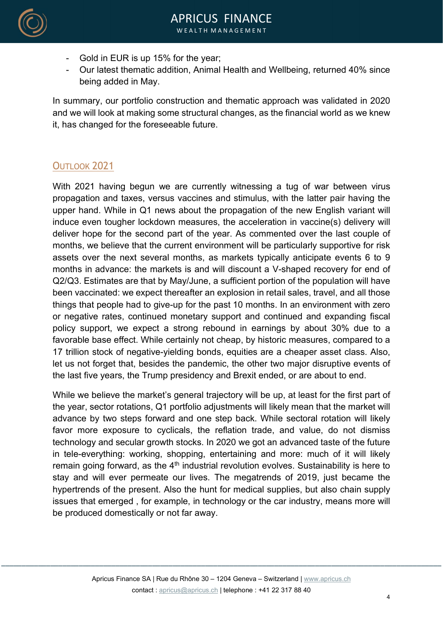- Gold in EUR is up 15% for the year;
- Our latest thematic addition, Animal Health and Wellbeing, returned 40% since being added in May.

In summary, our portfolio construction and thematic approach was validated in 2020 and we will look at making some structural changes, as the financial world as we knew it, has changed for the foreseeable future.

# OUTLOOK 2021

With 2021 having begun we are currently witnessing a tug of war between virus propagation and taxes, versus vaccines and stimulus, with the latter pair having the upper hand. While in Q1 news about the propagation of the new English variant will induce even tougher lockdown measures, the acceleration in vaccine(s) delivery will deliver hope for the second part of the year. As commented over the last couple of months, we believe that the current environment will be particularly supportive for risk assets over the next several months, as markets typically anticipate events 6 to 9 months in advance: the markets is and will discount a V-shaped recovery for end of Q2/Q3. Estimates are that by May/June, a sufficient portion of the population will have been vaccinated: we expect thereafter an explosion in retail sales, travel, and all those things that people had to give-up for the past 10 months. In an environment with zero or negative rates, continued monetary support and continued and expanding fiscal policy support, we expect a strong rebound in earnings by about 30% due to a favorable base effect. While certainly not cheap, by historic measures, compared to a 17 trillion stock of negative-yielding bonds, equities are a cheaper asset class. Also, let us not forget that, besides the pandemic, the other two major disruptive events of the last five years, the Trump presidency and Brexit ended, or are about to end.

While we believe the market's general trajectory will be up, at least for the first part of the year, sector rotations, Q1 portfolio adjustments will likely mean that the market will advance by two steps forward and one step back. While sectoral rotation will likely favor more exposure to cyclicals, the reflation trade, and value, do not dismiss technology and secular growth stocks. In 2020 we got an advanced taste of the future in tele-everything: working, shopping, entertaining and more: much of it will likely remain going forward, as the  $4<sup>th</sup>$  industrial revolution evolves. Sustainability is here to stay and will ever permeate our lives. The megatrends of 2019, just became the hypertrends of the present. Also the hunt for medical supplies, but also chain supply issues that emerged , for example, in technology or the car industry, means more will be produced domestically or not far away.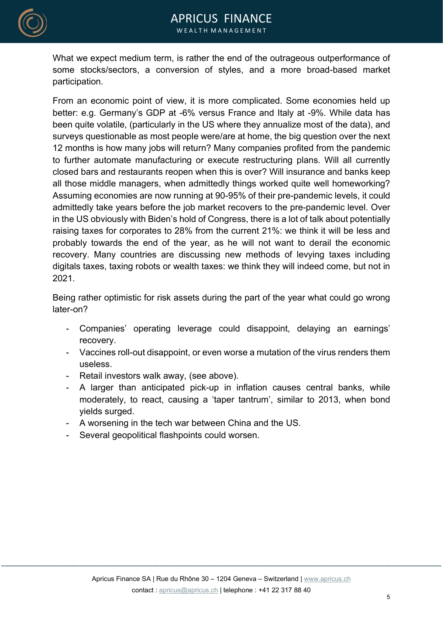

What we expect medium term, is rather the end of the outrageous outperformance of some stocks/sectors, a conversion of styles, and a more broad-based market participation.

From an economic point of view, it is more complicated. Some economies held up better: e.g. Germany's GDP at -6% versus France and Italy at -9%. While data has been quite volatile, (particularly in the US where they annualize most of the data), and surveys questionable as most people were/are at home, the big question over the next 12 months is how many jobs will return? Many companies profited from the pandemic to further automate manufacturing or execute restructuring plans. Will all currently closed bars and restaurants reopen when this is over? Will insurance and banks keep all those middle managers, when admittedly things worked quite well homeworking? Assuming economies are now running at 90-95% of their pre-pandemic levels, it could admittedly take years before the job market recovers to the pre-pandemic level. Over in the US obviously with Biden's hold of Congress, there is a lot of talk about potentially raising taxes for corporates to 28% from the current 21%: we think it will be less and probably towards the end of the year, as he will not want to derail the economic recovery. Many countries are discussing new methods of levying taxes including digitals taxes, taxing robots or wealth taxes: we think they will indeed come, but not in 2021.

Being rather optimistic for risk assets during the part of the year what could go wrong later-on?

- Companies' operating leverage could disappoint, delaying an earnings' recovery.
- Vaccines roll-out disappoint, or even worse a mutation of the virus renders them useless.
- Retail investors walk away, (see above).
- A larger than anticipated pick-up in inflation causes central banks, while moderately, to react, causing a 'taper tantrum', similar to 2013, when bond yields surged.
- A worsening in the tech war between China and the US.
- Several geopolitical flashpoints could worsen.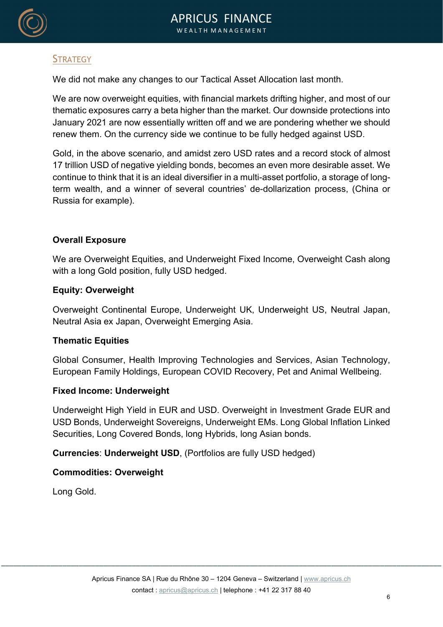

## **STRATEGY**

We did not make any changes to our Tactical Asset Allocation last month.

We are now overweight equities, with financial markets drifting higher, and most of our thematic exposures carry a beta higher than the market. Our downside protections into January 2021 are now essentially written off and we are pondering whether we should renew them. On the currency side we continue to be fully hedged against USD.

Gold, in the above scenario, and amidst zero USD rates and a record stock of almost 17 trillion USD of negative yielding bonds, becomes an even more desirable asset. We continue to think that it is an ideal diversifier in a multi-asset portfolio, a storage of longterm wealth, and a winner of several countries' de-dollarization process, (China or Russia for example).

#### Overall Exposure

We are Overweight Equities, and Underweight Fixed Income, Overweight Cash along with a long Gold position, fully USD hedged.

#### Equity: Overweight

Overweight Continental Europe, Underweight UK, Underweight US, Neutral Japan, Neutral Asia ex Japan, Overweight Emerging Asia.

#### Thematic Equities

Global Consumer, Health Improving Technologies and Services, Asian Technology, European Family Holdings, European COVID Recovery, Pet and Animal Wellbeing.

#### Fixed Income: Underweight

Underweight High Yield in EUR and USD. Overweight in Investment Grade EUR and USD Bonds, Underweight Sovereigns, Underweight EMs. Long Global Inflation Linked Securities, Long Covered Bonds, long Hybrids, long Asian bonds.

Currencies: Underweight USD, (Portfolios are fully USD hedged)

#### Commodities: Overweight

Long Gold.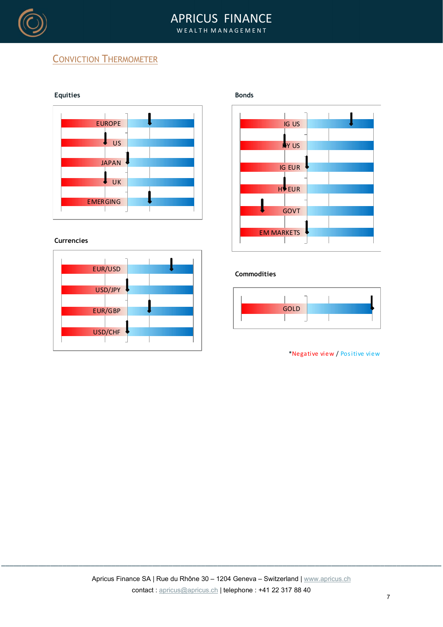

### APRICUS FINANCE W E A L T H M A N A G E M E N T

# **CONVICTION THERMOMETER**



#### **Currencies**

| <b>EUR/USD</b> |  |
|----------------|--|
|                |  |
| USD/JPY        |  |
|                |  |
| <b>EUR/GBP</b> |  |
|                |  |
| USD/CHF        |  |
|                |  |





#### Commodities



\*Negative view / Positive view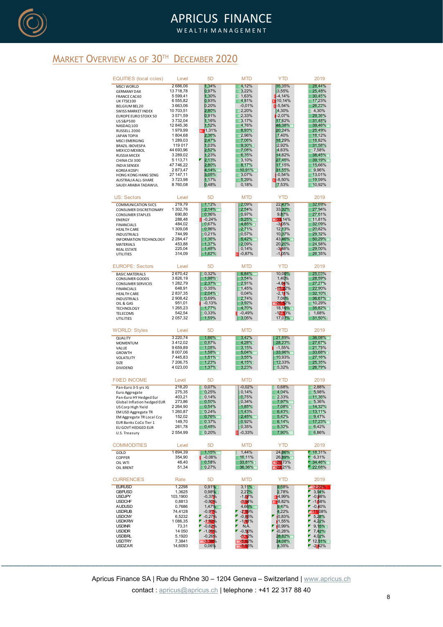

### APRICUS FINANCE W E A L T H M A N A G E M E N T

## **MARKET OVERVIEW AS OF 30TH DECEMBER 2020**

|                                                                                                                                                                                                                                          |                                                                                                                           |                                                                                                                                 | <b>APRICUS FINANCE</b><br>WEALTH MANAGEMENT                                                                                       |                                                                                                                       |                                                                                                                                                                  |
|------------------------------------------------------------------------------------------------------------------------------------------------------------------------------------------------------------------------------------------|---------------------------------------------------------------------------------------------------------------------------|---------------------------------------------------------------------------------------------------------------------------------|-----------------------------------------------------------------------------------------------------------------------------------|-----------------------------------------------------------------------------------------------------------------------|------------------------------------------------------------------------------------------------------------------------------------------------------------------|
| IEW AS OF 30TH DECEMBER 2020                                                                                                                                                                                                             |                                                                                                                           |                                                                                                                                 |                                                                                                                                   |                                                                                                                       |                                                                                                                                                                  |
| <b>EQUITIES</b> (local ccies)                                                                                                                                                                                                            | Level                                                                                                                     | 5 <sub>D</sub>                                                                                                                  | <b>MTD</b>                                                                                                                        | <b>YTD</b>                                                                                                            | 2019                                                                                                                                                             |
| <b>MSCI WORLD</b>                                                                                                                                                                                                                        | 2686,06                                                                                                                   | 1,34%                                                                                                                           | 4,12%                                                                                                                             | 16,35%                                                                                                                | 28,44%                                                                                                                                                           |
| <b>GERMANY DAX</b>                                                                                                                                                                                                                       | 13 718,78                                                                                                                 | 0,97%                                                                                                                           | 3,22%                                                                                                                             | 3,55%                                                                                                                 | 25,48%                                                                                                                                                           |
| <b>FRANCE CAC40</b>                                                                                                                                                                                                                      | 5 5 9 9, 4 1                                                                                                              | 1,30%                                                                                                                           | $\blacksquare$ 1,63%                                                                                                              | $1 - 4,14%$                                                                                                           | 30,45%                                                                                                                                                           |
| UK FTSE100                                                                                                                                                                                                                               | 6 555,82                                                                                                                  | 0,93%                                                                                                                           | 4,81%                                                                                                                             | 10,14%                                                                                                                | 17,23%                                                                                                                                                           |
| BELGIUM BEL20                                                                                                                                                                                                                            | 3 663,06                                                                                                                  | 0,20%                                                                                                                           | $-0,01%$                                                                                                                          | $-5,54%$                                                                                                              | 26,22%                                                                                                                                                           |
| SWISS MARKET INDEX                                                                                                                                                                                                                       | 10 703,51                                                                                                                 | 2,80%                                                                                                                           | $\Box$ 2,20%                                                                                                                      | 4,30%                                                                                                                 | 4,30%                                                                                                                                                            |
| EUROPE EURO STOXX 50                                                                                                                                                                                                                     | 3571,59                                                                                                                   | <b>D,91%</b>                                                                                                                    | 12,33%                                                                                                                            | $-2,07%$                                                                                                              | 29,36%                                                                                                                                                           |
| USS&P500                                                                                                                                                                                                                                 | 3732,04                                                                                                                   | 1,16%                                                                                                                           | 3,17%                                                                                                                             | 17,62%                                                                                                                | 31,48%                                                                                                                                                           |
| NASDAQ 100                                                                                                                                                                                                                               | 12 845,36                                                                                                                 | 1,52%                                                                                                                           | 4,76%                                                                                                                             | 48,38%                                                                                                                | 39,46%                                                                                                                                                           |
| RUSSELL 2000                                                                                                                                                                                                                             | 1979,99                                                                                                                   | 1,31%                                                                                                                           | 8,93%                                                                                                                             | 20,24%                                                                                                                | 25,49%                                                                                                                                                           |
| JAPAN TOPIX                                                                                                                                                                                                                              | 1804,68                                                                                                                   | 2,36%                                                                                                                           | 2,96%                                                                                                                             | 7,40%                                                                                                                 | 18,12%                                                                                                                                                           |
| <b>MSCI EMERGING</b>                                                                                                                                                                                                                     | 1 289,03                                                                                                                  | 2,47%                                                                                                                           | 7,06%                                                                                                                             | 18,29%                                                                                                                | 18,82%                                                                                                                                                           |
| <b>BRAZIL IBOVESPA</b>                                                                                                                                                                                                                   | 119 017                                                                                                                   | 1,03%                                                                                                                           | 9,30%                                                                                                                             | 2,92%                                                                                                                 | 31,58%                                                                                                                                                           |
| MEXICO MEXBOL                                                                                                                                                                                                                            | 44 693,96                                                                                                                 | 2,52%                                                                                                                           | 7,08%                                                                                                                             | 4,63%                                                                                                                 | 7,58%                                                                                                                                                            |
| <b>RUSSIA MICEX</b>                                                                                                                                                                                                                      | 3 289,02                                                                                                                  | 1,23%                                                                                                                           | 6,35%                                                                                                                             | 14,82%                                                                                                                | 38,45%                                                                                                                                                           |
| CHINA CSI 300                                                                                                                                                                                                                            | 5 113,71                                                                                                                  | 2,13%                                                                                                                           | 3,10%                                                                                                                             | 27,46%                                                                                                                | 39,19%                                                                                                                                                           |
| <b>INDIA SENSEX</b>                                                                                                                                                                                                                      | 47 746,22                                                                                                                 | 2,80%                                                                                                                           | 8,17%                                                                                                                             | 17,15%                                                                                                                | 15,66%                                                                                                                                                           |
| <b>KOREA KOSPI</b>                                                                                                                                                                                                                       | 2873,47                                                                                                                   | 4,14%                                                                                                                           | 10,91%                                                                                                                            | 31,55%                                                                                                                | 9,96%                                                                                                                                                            |
| HONG KONG HANG SENG                                                                                                                                                                                                                      | 27 147,11                                                                                                                 | 3,05%                                                                                                                           | 3,07%                                                                                                                             | $-0,54%$                                                                                                              | 13,01%                                                                                                                                                           |
| AUSTRALIA ALL-SHARE                                                                                                                                                                                                                      | 3723,98                                                                                                                   | 1,17%                                                                                                                           | 5,29%                                                                                                                             | $-8,50%$                                                                                                              | 19,09%                                                                                                                                                           |
| SAUDI ARABIA TADAWUL                                                                                                                                                                                                                     | 8760,08                                                                                                                   | 0,48%                                                                                                                           | 0,18%                                                                                                                             | 7,53%                                                                                                                 | 10,92%                                                                                                                                                           |
| <b>US: Sectors</b>                                                                                                                                                                                                                       | Level                                                                                                                     | 5 <sub>D</sub>                                                                                                                  | <b>MTD</b>                                                                                                                        | <b>YTD</b>                                                                                                            | 2019                                                                                                                                                             |
| <b>COMMUNICATION SVCS</b>                                                                                                                                                                                                                | 219,79                                                                                                                    | 1,12%                                                                                                                           | 2,09%                                                                                                                             | 22 43%                                                                                                                | 32,69%                                                                                                                                                           |
| CONSUMER DISCRETIONARY                                                                                                                                                                                                                   | 1 302,76                                                                                                                  | 2,14%                                                                                                                           | 2,54%                                                                                                                             | 3332%                                                                                                                 | 27,94%                                                                                                                                                           |
| <b>CONSUMER STAPLES</b>                                                                                                                                                                                                                  | 690,80                                                                                                                    | 0,96%                                                                                                                           | 0,97%                                                                                                                             | 9,87%                                                                                                                 | 27,61%                                                                                                                                                           |
| <b>ENERGY</b>                                                                                                                                                                                                                            | 288,48                                                                                                                    | $-0,24%$                                                                                                                        | 5,25%                                                                                                                             | $-33$ 14%                                                                                                             | 11,81%                                                                                                                                                           |
| <b>FINANCIALS</b>                                                                                                                                                                                                                        | 484,02                                                                                                                    | 0,67%                                                                                                                           | 4,85%                                                                                                                             | $-3105%$                                                                                                              | 32,09%                                                                                                                                                           |
| <b>HEALTH CARE</b>                                                                                                                                                                                                                       | 1 309,08                                                                                                                  | 0,96%                                                                                                                           | 2,71%                                                                                                                             | 12 13%                                                                                                                | 20,82%                                                                                                                                                           |
| INDUSTRIALS                                                                                                                                                                                                                              | 744,99                                                                                                                    | 0,21%                                                                                                                           | 0,57%                                                                                                                             | 10 37%                                                                                                                | 29,32%                                                                                                                                                           |
| INFORMATION TECHNOLOGY                                                                                                                                                                                                                   | 2 2 8 4, 47                                                                                                               | 1,36%                                                                                                                           | 5,42%                                                                                                                             | 43,46%                                                                                                                | 50,29%                                                                                                                                                           |
| MATERIALS                                                                                                                                                                                                                                | 453,88                                                                                                                    | 1,37%                                                                                                                           | 2,09%                                                                                                                             | 20 20%                                                                                                                | 24,58%                                                                                                                                                           |
| <b>REAL ESTATE</b>                                                                                                                                                                                                                       | 225,04                                                                                                                    | 1,48%                                                                                                                           | 0,14%                                                                                                                             | -3 <mark>1</mark> 48%                                                                                                 | 29,00%                                                                                                                                                           |
| UTILITIES                                                                                                                                                                                                                                | 314,09                                                                                                                    | 1,62%                                                                                                                           | $\Box 0,87\%$                                                                                                                     | $-1105%$                                                                                                              | 26,35%                                                                                                                                                           |
| <b>EUROPE: Sectors</b>                                                                                                                                                                                                                   | Level                                                                                                                     | 5 <sub>D</sub>                                                                                                                  | <b>MTD</b>                                                                                                                        | <b>YTD</b>                                                                                                            | 2019                                                                                                                                                             |
| <b>BASIC MATERIALS</b>                                                                                                                                                                                                                   | 2670,42                                                                                                                   | 0,32%                                                                                                                           | 6,84%                                                                                                                             | 10,00%                                                                                                                | 25,03%                                                                                                                                                           |
| CONSUMER GOODS                                                                                                                                                                                                                           | 3826,19                                                                                                                   | 1,98%                                                                                                                           | 3,54%                                                                                                                             | 1,40%                                                                                                                 | 28,59%                                                                                                                                                           |
| <b>CONSUMER SERVICES</b>                                                                                                                                                                                                                 | 1 282,79                                                                                                                  | 2,37%                                                                                                                           | 2,91%                                                                                                                             | $-4,64%$                                                                                                              | 27,27%                                                                                                                                                           |
| <b>FINANCIALS</b>                                                                                                                                                                                                                        | 648,91                                                                                                                    | 10,35%                                                                                                                          | 1,45%                                                                                                                             | $-15,22%$                                                                                                             | 22,90%                                                                                                                                                           |
| <b>HEALTH CARE</b>                                                                                                                                                                                                                       | 2837,35                                                                                                                   | 2,04%                                                                                                                           | 0,04%                                                                                                                             | $-2,11$ %                                                                                                             | 32,10%                                                                                                                                                           |
| <b>INDUSTRIALS</b>                                                                                                                                                                                                                       | 2 908,42                                                                                                                  | 0,69%                                                                                                                           | 2,74%                                                                                                                             | 7,06%                                                                                                                 | 36,67%                                                                                                                                                           |
| OIL & GAS                                                                                                                                                                                                                                | 951,01                                                                                                                    | $-0,13%$                                                                                                                        | 3,92%                                                                                                                             | $-26,52%$                                                                                                             | 10,29%                                                                                                                                                           |
| <b>TECHNOLOGY</b>                                                                                                                                                                                                                        | 1 265,23                                                                                                                  | $1,77\%$                                                                                                                        | 4,70%                                                                                                                             | 18,16%                                                                                                                | 35,82%                                                                                                                                                           |
| TELECOMS                                                                                                                                                                                                                                 | 542,54                                                                                                                    | 0,33%                                                                                                                           | $-0,49%$                                                                                                                          | $-12.13%$                                                                                                             | 1,68%                                                                                                                                                            |
| UTILITIES                                                                                                                                                                                                                                | 2 057,32                                                                                                                  | 1,59%                                                                                                                           | 3,05%                                                                                                                             | 17,07%                                                                                                                | 31,50%                                                                                                                                                           |
| <b>WORLD: Styles</b>                                                                                                                                                                                                                     | Level                                                                                                                     | 5 <sub>D</sub>                                                                                                                  | <b>MTD</b>                                                                                                                        | <b>YTD</b>                                                                                                            | 2019                                                                                                                                                             |
| QUALITY                                                                                                                                                                                                                                  | 3 2 2 0 , 7 4                                                                                                             | 1,66%                                                                                                                           | 3,42%                                                                                                                             | 21,89%                                                                                                                | 36,08%                                                                                                                                                           |
| <b>MOMENTUM</b>                                                                                                                                                                                                                          | 3412,02                                                                                                                   | 0,87%                                                                                                                           | 4,28%                                                                                                                             | 28,23%                                                                                                                | 27,67%                                                                                                                                                           |
| VALUE                                                                                                                                                                                                                                    | 9659,89                                                                                                                   | 1,08%                                                                                                                           | 3,15%                                                                                                                             | $-1,55%$                                                                                                              | 21,75%                                                                                                                                                           |
| <b>GROWTH</b>                                                                                                                                                                                                                            | 8 007,06                                                                                                                  | 1,58%                                                                                                                           | 5,04%                                                                                                                             | 33,96%                                                                                                                | 33,68%                                                                                                                                                           |
| VOLATILITY                                                                                                                                                                                                                               | 7 4 4 5, 8 3                                                                                                              | $1,51\%$                                                                                                                        | 3,55%                                                                                                                             | 10,93%                                                                                                                | 27,16%                                                                                                                                                           |
| SIZE                                                                                                                                                                                                                                     | 7 206,75                                                                                                                  | 1,23%                                                                                                                           | 4,15%                                                                                                                             | 12,33%                                                                                                                | 25,35%                                                                                                                                                           |
| <b>DIVIDEND</b>                                                                                                                                                                                                                          | 4 023,00                                                                                                                  | 1,37%                                                                                                                           | 3,23%                                                                                                                             | 15,32%                                                                                                                | 26,79%                                                                                                                                                           |
| <b>FIXED INCOME</b>                                                                                                                                                                                                                      | Level                                                                                                                     | 5 <sub>D</sub>                                                                                                                  | <b>MTD</b>                                                                                                                        | <b>YTD</b>                                                                                                            | 2019                                                                                                                                                             |
|                                                                                                                                                                                                                                          | 218,20                                                                                                                    | 0,07%                                                                                                                           | $-0,02%$                                                                                                                          | 0,68%                                                                                                                 | 2,88%                                                                                                                                                            |
| Pan-Euro 3-5 yrs IG<br>Euro Aggregate<br>Pan-Euro HY Hedged Eur<br>Global Inflation hedged EUR<br>US Corp High Yield<br>EM USD Aggregate TR<br>EM Aggregate TR Local Ccy<br>EUR Banks CoCo Tier 1<br>EU GOVT HEDGED EUR<br>U.S. Treasury | 275,35<br>403,21<br>273,86<br>2 2 64,90<br>1 260,87<br>152,02<br>149,70<br>261,78<br>2 554,99                             | 0,25%<br>$\Box$ 0,14%<br>0,50%<br>0,54%<br>0,24%<br>0,76%<br>0,37%<br>0,48%<br>0,20%                                            | 0,14%<br>0,75%<br>0,34%<br>1,85%<br>1,43%<br>2,45%<br>0,92%<br>0,35%<br>$\blacksquare$ -0,33%                                     | 4,04%<br>2,33%<br>7,97%<br>7,08%<br>6,43%<br>5,42%<br>6,14%<br>5,32%<br>7,90%                                         | 5,98%<br>11,36%<br>5,36%<br>14,32%<br>13,11%<br>9,47%<br>17,23%<br>6,42%<br>6,86%                                                                                |
| COMMODITIES                                                                                                                                                                                                                              | Level<br>1894,39                                                                                                          | 5 <sub>D</sub><br>1,15%                                                                                                         | <b>MTD</b><br>1,44%                                                                                                               | <b>YTD</b>                                                                                                            | 2019<br>18,31%                                                                                                                                                   |
| GOLD<br>COPPER<br>OIL WTI<br>OIL BRENT                                                                                                                                                                                                   | 354,90<br>48,40<br>51,34                                                                                                  | $-0,08%$<br>0,58%<br>0,27%                                                                                                      | 16,11%<br>33,81%<br>$36,36\%$                                                                                                     | 24,86%<br>26,89%<br>$-20$ 73%<br>$-22$ 21%                                                                            | 6,31%<br>$34,46\%$<br>22,68%                                                                                                                                     |
| <b>CURRENCIES</b>                                                                                                                                                                                                                        | Rate                                                                                                                      | 5 <sub>D</sub>                                                                                                                  | <b>MTD</b>                                                                                                                        | <b>YTD</b>                                                                                                            | 2019                                                                                                                                                             |
| <b>EURUSD</b>                                                                                                                                                                                                                            | 1,2298                                                                                                                    | 0,91%                                                                                                                           | 3,11%                                                                                                                             | 9,68%                                                                                                                 | $-2,22%$                                                                                                                                                         |
| <b>GBPUSD</b><br><b>USDJPY</b><br><b>USDCHF</b><br><b>AUDUSD</b><br><b>USDRUB</b><br><b>USDCNY</b><br><b>USDKRW</b><br><b>USDINR</b><br><b>USDIDR</b><br><b>USDBRL</b><br><b>USDTRY</b><br><b>USDZAR</b>                                 | 1,3625<br>103,1900<br>0,8813<br>0,7686<br>74,4128<br>6,5232<br>1 086,35<br>73,31<br>14 050<br>5,1920<br>7,3841<br>14,6093 | 0,98%<br>$-0,37$<br>$-0,80%$<br>1,47%<br>$-0.91%$<br>$-0,27%$<br>$-1.92%$<br>$-0,62%$<br>$-1,06$<br>$-0,26$<br>$-3,38$<br>0,06% | 2,27%<br>$-1.07%$<br>3,0,1%<br>4,66%<br>$-2.59%$<br>$-0,85%$<br>$-181%$<br>Г<br>N.A.<br>$-0,50%$<br>3,12%<br>$-5,62%$<br>$-5.55%$ | 2,78%<br>4,99%<br>8,82%<br>9,47%<br>4,22%<br>${0,83\%}$<br>1,55%<br>0,99%<br>z<br>10,28%<br>28,82%<br>24,08%<br>4,35% | 3,94%<br>$\blacksquare$ -0.98%<br>$-1158%$<br>$-0,10\%$<br>$-1108%$<br>5,48%<br>4,22%<br>r<br>₽<br>$9,15\%$<br>┏<br>7,42%<br>4,02%<br>▼<br>$-12,51\%$<br>$-242%$ |

Apricus Finance SA | Rue du Rhône 30 - 1204 Geneva - Switzerland | www.apricus.ch contact : apricus@apricus.ch | telephone : +41 22 317 88 40